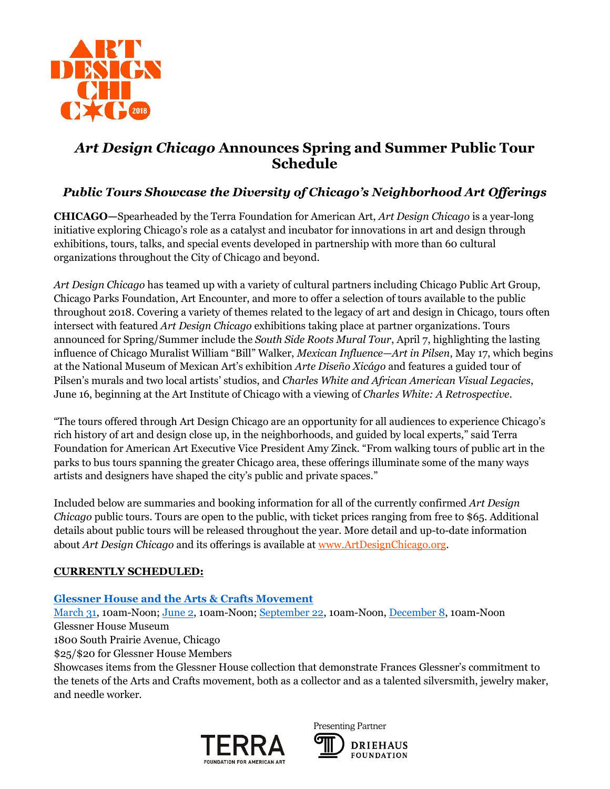

# *Art Design Chicago* **Announces Spring and Summer Public Tour Schedule**

## *Public Tours Showcase the Diversity of Chicago's Neighborhood Art Offerings*

**CHICAGO—**Spearheaded by the Terra Foundation for American Art, *Art Design Chicago* is a year-long initiative exploring Chicago's role as a catalyst and incubator for innovations in art and design through exhibitions, tours, talks, and special events developed in partnership with more than 60 cultural organizations throughout the City of Chicago and beyond.

*Art Design Chicago* has teamed up with a variety of cultural partners including Chicago Public Art Group, Chicago Parks Foundation, Art Encounter, and more to offer a selection of tours available to the public throughout 2018. Covering a variety of themes related to the legacy of art and design in Chicago, tours often intersect with featured *Art Design Chicago* exhibitions taking place at partner organizations. Tours announced for Spring/Summer include the *South Side Roots Mural Tour*, April 7, highlighting the lasting influence of Chicago Muralist William "Bill" Walker, *Mexican Influence*—*Art in Pilsen*, May 17, which begins at the National Museum of Mexican Art's exhibition *Arte Diseño Xicágo* and features a guided tour of Pilsen's murals and two local artists' studios, and *Charles White and African American Visual Legacies*, June 16, beginning at the Art Institute of Chicago with a viewing of *Charles White: A Retrospective*.

"The tours offered through Art Design Chicago are an opportunity for all audiences to experience Chicago's rich history of art and design close up, in the neighborhoods, and guided by local experts," said Terra Foundation for American Art Executive Vice President Amy Zinck. "From walking tours of public art in the parks to bus tours spanning the greater Chicago area, these offerings illuminate some of the many ways artists and designers have shaped the city's public and private spaces."

Included below are summaries and booking information for all of the currently confirmed *Art Design Chicago* public tours. Tours are open to the public, with ticket prices ranging from free to \$65. Additional details about public tours will be released throughout the year. More detail and up-to-date information about *Art Design Chicago* and its offerings is available a[t www.ArtDesignChicago.org.](http://www.artdesignchicago.org/)

### **CURRENTLY SCHEDULED:**

#### **[Glessner House and the Arts & Crafts Movement](https://www.artdesignchicago.org/events/glessner-house-and-the-arts-crafts-movement-march-tour)**

[March 31,](https://www.artdesignchicago.org/events/glessner-house-and-the-arts-crafts-movement-march-tour) 10am-Noon; [June 2,](https://www.artdesignchicago.org/events/glessner-house-and-the-arts-crafts-movement-june-tour) 10am-Noon; [September 22,](https://www.artdesignchicago.org/events/glessner-house-and-the-arts-crafts-movement-september-tour) 10am-Noon[, December 8,](https://www.artdesignchicago.org/events/glessner-house-and-the-arts-crafts-movement-december-tour) 10am-Noon Glessner House Museum

1800 South Prairie Avenue, Chicago

\$25/\$20 for Glessner House Members

Showcases items from the Glessner House collection that demonstrate Frances Glessner's commitment to the tenets of the Arts and Crafts movement, both as a collector and as a talented silversmith, jewelry maker, and needle worker.



Presenting Partner **DRIEHAUS FOUNDATION**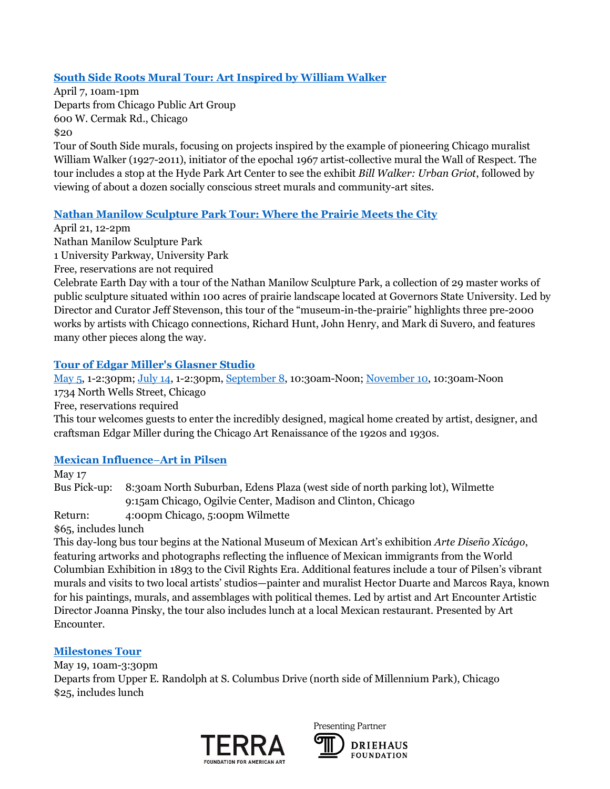### **[South Side Roots Mural Tour: Art Inspired by William Walker](https://www.artdesignchicago.org/events/south-side-roots-mural-tour-art-inspired-by-william-walker)**

April 7, 10am-1pm Departs from Chicago Public Art Group 600 W. Cermak Rd., Chicago \$20

Tour of South Side murals, focusing on projects inspired by the example of pioneering Chicago muralist William Walker (1927-2011), initiator of the epochal 1967 artist-collective mural the Wall of Respect. The tour includes a stop at the Hyde Park Art Center to see the exhibit *Bill Walker: Urban Griot*, followed by viewing of about a dozen socially conscious street murals and community-art sites.

#### **[Nathan Manilow Sculpture Park Tour: Where the Prairie Meets the City](https://www.artdesignchicago.org/events/nathan-manilow-sculpture-park-tour-where-the-prairie-meets-the-city)**

April 21, 12-2pm

Nathan Manilow Sculpture Park 1 University Parkway, University Park

Free, reservations are not required

Celebrate Earth Day with a tour of the Nathan Manilow Sculpture Park, a collection of 29 master works of public sculpture situated within 100 acres of prairie landscape located at Governors State University. Led by Director and Curator Jeff Stevenson, this tour of the "museum-in-the-prairie" highlights three pre-2000 works by artists with Chicago connections, Richard Hunt, John Henry, and Mark di Suvero, and features many other pieces along the way.

#### **[Tour of Edgar Miller's Glasner Studio](https://www.artdesignchicago.org/events/may-tour-of-edgar-miller-s-glasner-studio)**

[May 5,](https://www.artdesignchicago.org/events/may-tour-of-edgar-miller-s-glasner-studio) 1-2:30pm; [July 14,](https://www.artdesignchicago.org/events/july-tour-of-edgar-miller-s-glasner-studio) 1-2:30pm, [September 8,](file://///terra2k11/shared/Common/Chicago%20Art%20History%20Initiative/Content%20Development/Special%20Projects/Tours/September%208,%202018,%2010:30%20a.m.–12%20p.m.) 10:30am-Noon[; November 10,](https://www.artdesignchicago.org/events/november-tour-of-edgar-miller-s-glasner-studio) 10:30am-Noon 1734 North Wells Street, Chicago Free, reservations required This tour welcomes guests to enter the incredibly designed, magical home created by artist, designer, and craftsman Edgar Miller during the Chicago Art Renaissance of the 1920s and 1930s.

#### **[Mexican Influence](https://www.artdesignchicago.org/events/bus-tour-mexican-influence-art-in-pilsen)**–**Art in Pilsen**

May 17

Bus Pick-up: 8:30am North Suburban, Edens Plaza (west side of north parking lot), Wilmette 9:15am Chicago, Ogilvie Center, Madison and Clinton, Chicago Return: 4:00pm Chicago, 5:00pm Wilmette

\$65, includes lunch

This day-long bus tour begins at the National Museum of Mexican Art's exhibition *Arte Diseño Xicágo*, featuring artworks and photographs reflecting the influence of Mexican immigrants from the World Columbian Exhibition in 1893 to the Civil Rights Era. Additional features include a tour of Pilsen's vibrant murals and visits to two local artists' studios—painter and muralist Hector Duarte and Marcos Raya, known for his paintings, murals, and assemblages with political themes. Led by artist and Art Encounter Artistic Director Joanna Pinsky, the tour also includes lunch at a local Mexican restaurant. Presented by Art Encounter.

### **[Milestones Tour](https://www.artdesignchicago.org/events/milestones-bus-tour)**

May 19, 10am-3:30pm Departs from Upper E. Randolph at S. Columbus Drive (north side of Millennium Park), Chicago \$25, includes lunch



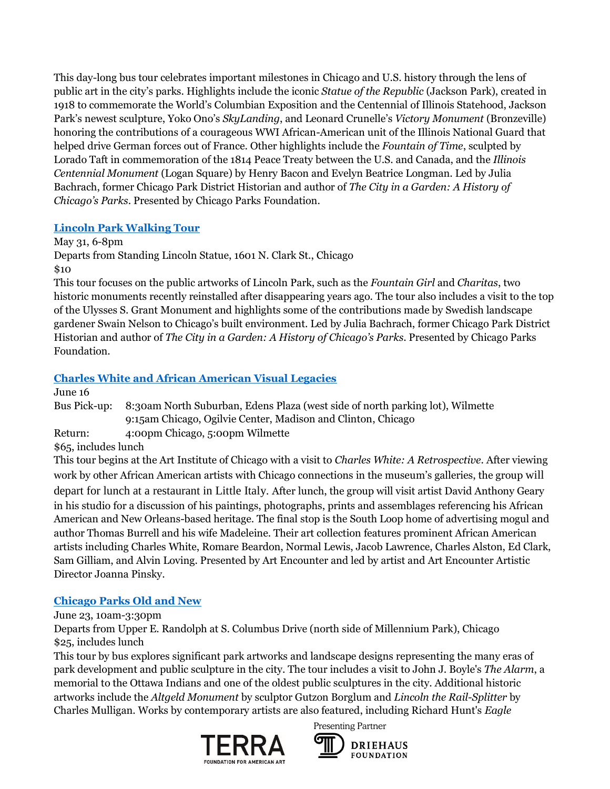This day-long bus tour celebrates important milestones in Chicago and U.S. history through the lens of public art in the city's parks. Highlights include the iconic *Statue of the Republic* (Jackson Park), created in 1918 to commemorate the World's Columbian Exposition and the Centennial of Illinois Statehood, Jackson Park's newest sculpture, Yoko Ono's *SkyLanding*, and Leonard Crunelle's *Victory Monument* (Bronzeville) honoring the contributions of a courageous WWI African-American unit of the Illinois National Guard that helped drive German forces out of France. Other highlights include the *Fountain of Time*, sculpted by Lorado Taft in commemoration of the 1814 Peace Treaty between the U.S. and Canada, and the *Illinois Centennial Monument* (Logan Square) by Henry Bacon and Evelyn Beatrice Longman. Led by Julia Bachrach, former Chicago Park District Historian and author of *The City in a Garden: A History of Chicago's Parks*. Presented by Chicago Parks Foundation.

### **[Lincoln Park Walking Tour](https://www.artdesignchicago.org/events/lincoln-park-walking-tour-d477066e-1c3a-43e2-a536-3720374ca3a6)**

May 31, 6-8pm

Departs from Standing Lincoln Statue, 1601 N. Clark St., Chicago \$10

This tour focuses on the public artworks of Lincoln Park, such as the *Fountain Girl* and *Charitas*, two historic monuments recently reinstalled after disappearing years ago. The tour also includes a visit to the top of the Ulysses S. Grant Monument and highlights some of the contributions made by Swedish landscape gardener Swain Nelson to Chicago's built environment. Led by Julia Bachrach, former Chicago Park District Historian and author of *The City in a Garden: A History of Chicago's Parks*. Presented by Chicago Parks Foundation.

## **[Charles White and African American Visual Legacies](https://www.artdesignchicago.org/events/bus-tour-charles-white-and-african-american-visual-legacies)**

June 16

Bus Pick-up: 8:30am North Suburban, Edens Plaza (west side of north parking lot), Wilmette 9:15am Chicago, Ogilvie Center, Madison and Clinton, Chicago Return: 4:00pm Chicago, 5:00pm Wilmette

\$65, includes lunch

This tour begins at the Art Institute of Chicago with a visit to *Charles White: A Retrospective*. After viewing work by other African American artists with Chicago connections in the museum's galleries, the group will depart for lunch at a restaurant in Little Italy. After lunch, the group will visit artist David Anthony Geary in his studio for a discussion of his paintings, photographs, prints and assemblages referencing his African American and New Orleans-based heritage. The final stop is the South Loop home of advertising mogul and author Thomas Burrell and his wife Madeleine. Their art collection features prominent African American artists including Charles White, Romare Beardon, Normal Lewis, Jacob Lawrence, Charles Alston, Ed Clark, Sam Gilliam, and Alvin Loving. Presented by Art Encounter and led by artist and Art Encounter Artistic Director Joanna Pinsky.

### **[Chicago Parks Old and New](https://www.artdesignchicago.org/events/chicago-parks-old-new-a-bus-tour)**

June 23, 10am-3:30pm

Departs from Upper E. Randolph at S. Columbus Drive (north side of Millennium Park), Chicago \$25, includes lunch

This tour by bus explores significant park artworks and landscape designs representing the many eras of park development and public sculpture in the city. The tour includes a visit to John J. Boyle's *The Alarm*, a memorial to the Ottawa Indians and one of the oldest public sculptures in the city. Additional historic artworks include the *Altgeld Monument* by sculptor Gutzon Borglum and *Lincoln the Rail-Splitter* by Charles Mulligan. Works by contemporary artists are also featured, including Richard Hunt's *Eagle* 



Presenting Partner

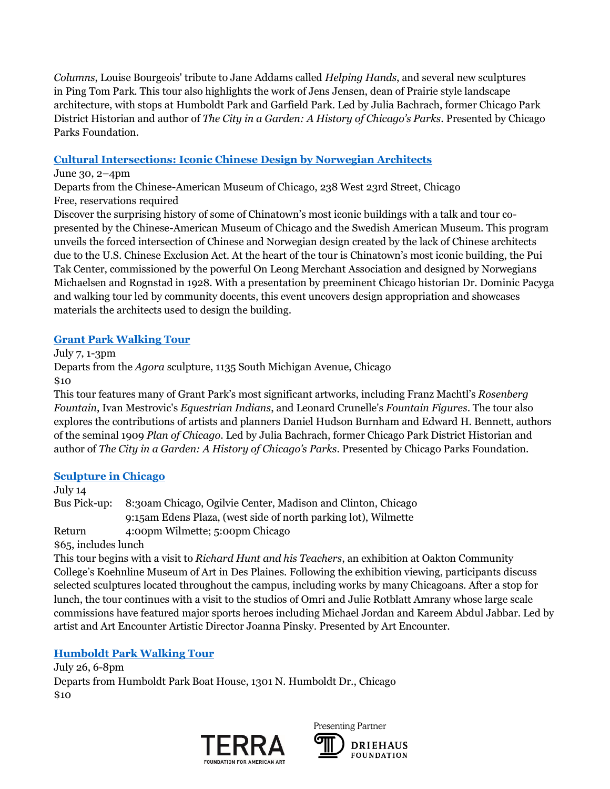*Columns*, Louise Bourgeois' tribute to Jane Addams called *Helping Hands*, and several new sculptures in Ping Tom Park. This tour also highlights the work of Jens Jensen, dean of Prairie style landscape architecture, with stops at Humboldt Park and Garfield Park. Led by Julia Bachrach, former Chicago Park District Historian and author of *The City in a Garden: A History of Chicago's Parks*. Presented by Chicago Parks Foundation.

### **[Cultural Intersections: Iconic Chinese Design by Norwegian Architects](https://www.artdesignchicago.org/events/cultural-intersections-iconic-chinese-design-by-norwegian-architects)**

#### June 30, 2–4pm

Departs from the Chinese-American Museum of Chicago, 238 West 23rd Street, Chicago Free, reservations required

Discover the surprising history of some of Chinatown's most iconic buildings with a talk and tour copresented by the Chinese-American Museum of Chicago and the Swedish American Museum. This program unveils the forced intersection of Chinese and Norwegian design created by the lack of Chinese architects due to the U.S. Chinese Exclusion Act. At the heart of the tour is Chinatown's most iconic building, the Pui Tak Center, commissioned by the powerful On Leong Merchant Association and designed by Norwegians Michaelsen and Rognstad in 1928. With a presentation by preeminent Chicago historian Dr. Dominic Pacyga and walking tour led by community docents, this event uncovers design appropriation and showcases materials the architects used to design the building.

### **[Grant Park Walking Tour](https://www.artdesignchicago.org/events/grant-park-walking-tour)**

July 7, 1-3pm

Departs from the *Agora* sculpture, 1135 South Michigan Avenue, Chicago \$10

This tour features many of Grant Park's most significant artworks, including Franz Machtl's *Rosenberg Fountain*, Ivan Mestrovic's *Equestrian Indians*, and Leonard Crunelle's *Fountain Figures*. The tour also explores the contributions of artists and planners Daniel Hudson Burnham and Edward H. Bennett, authors of the seminal 1909 *Plan of Chicago*. Led by Julia Bachrach, former Chicago Park District Historian and author of *The City in a Garden: A History of Chicago's Parks*. Presented by Chicago Parks Foundation.

### **[Sculpture in Chicago](https://www.artdesignchicago.org/events/bus-tour-sculpture-in-chicago)**

July 14 Bus Pick-up: 8:30am Chicago, Ogilvie Center, Madison and Clinton, Chicago 9:15am Edens Plaza, (west side of north parking lot), Wilmette Return 4:00pm Wilmette; 5:00pm Chicago

\$65, includes lunch

This tour begins with a visit to *Richard Hunt and his Teachers*, an exhibition at Oakton Community College's Koehnline Museum of Art in Des Plaines. Following the exhibition viewing, participants discuss selected sculptures located throughout the campus, including works by many Chicagoans. After a stop for lunch, the tour continues with a visit to the studios of Omri and Julie Rotblatt Amrany whose large scale commissions have featured major sports heroes including Michael Jordan and Kareem Abdul Jabbar. Led by artist and Art Encounter Artistic Director Joanna Pinsky. Presented by Art Encounter.

### **[Humboldt Park Walking Tour](https://www.artdesignchicago.org/events/humboldt-park-walking-tour)**

July 26, 6-8pm Departs from Humboldt Park Boat House, 1301 N. Humboldt Dr., Chicago \$10



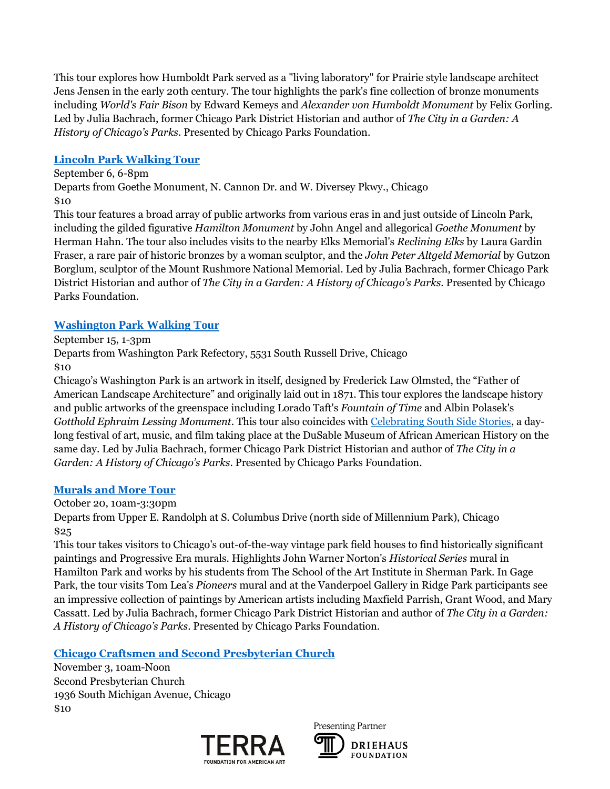This tour explores how Humboldt Park served as a "living laboratory" for Prairie style landscape architect Jens Jensen in the early 20th century. The tour highlights the park's fine collection of bronze monuments including *World's Fair Bison* by Edward Kemeys and *Alexander von Humboldt Monument* by Felix Gorling. Led by Julia Bachrach, former Chicago Park District Historian and author of *The City in a Garden: A History of Chicago's Parks*. Presented by Chicago Parks Foundation.

### **[Lincoln Park Walking Tour](https://www.artdesignchicago.org/events/lincoln-park-walking-tour)**

September 6, 6-8pm Departs from Goethe Monument, N. Cannon Dr. and W. Diversey Pkwy., Chicago \$10

This tour features a broad array of public artworks from various eras in and just outside of Lincoln Park, including the gilded figurative *Hamilton Monument* by John Angel and allegorical *Goethe Monument* by Herman Hahn. The tour also includes visits to the nearby Elks Memorial's *Reclining Elks* by Laura Gardin Fraser, a rare pair of historic bronzes by a woman sculptor, and the *John Peter Altgeld Memorial* by Gutzon Borglum, sculptor of the Mount Rushmore National Memorial. Led by Julia Bachrach, former Chicago Park District Historian and author of *The City in a Garden: A History of Chicago's Parks*. Presented by Chicago Parks Foundation.

### **[Washington Park Walking Tour](https://www.artdesignchicago.org/events/washington-park-walking-tour)**

September 15, 1-3pm

Departs from Washington Park Refectory, 5531 South Russell Drive, Chicago

\$10

Chicago's Washington Park is an artwork in itself, designed by Frederick Law Olmsted, the "Father of American Landscape Architecture" and originally laid out in 1871. This tour explores the landscape history and public artworks of the greenspace including Lorado Taft's *Fountain of Time* and Albin Polasek's *Gotthold Ephraim Lessing Monument*. This tour also coincides with [Celebrating South Side Stories,](https://www.artdesignchicago.org/events/celebrating-south-side-stories) a daylong festival of art, music, and film taking place at the DuSable Museum of African American History on the same day. Led by Julia Bachrach, former Chicago Park District Historian and author of *The City in a Garden: A History of Chicago's Parks*. Presented by Chicago Parks Foundation.

#### **[Murals and More Tour](https://www.artdesignchicago.org/events/murals-more-bus-tour)**

October 20, 10am-3:30pm

Departs from Upper E. Randolph at S. Columbus Drive (north side of Millennium Park), Chicago \$25

This tour takes visitors to Chicago's out-of-the-way vintage park field houses to find historically significant paintings and Progressive Era murals. Highlights John Warner Norton's *Historical Series* mural in Hamilton Park and works by his students from The School of the Art Institute in Sherman Park. In Gage Park, the tour visits Tom Lea's *Pioneers* mural and at the Vanderpoel Gallery in Ridge Park participants see an impressive collection of paintings by American artists including Maxfield Parrish, Grant Wood, and Mary Cassatt. Led by Julia Bachrach, former Chicago Park District Historian and author of *The City in a Garden: A History of Chicago's Parks*. Presented by Chicago Parks Foundation.

### **[Chicago Craftsmen and Second Presbyterian Church](https://www.artdesignchicago.org/events/chicago-craftsmen-and-second-presbyterian-church)**

November 3, 10am-Noon Second Presbyterian Church 1936 South Michigan Avenue, Chicago \$10



Presenting Partner **DRIEHAUS FOUNDATION**